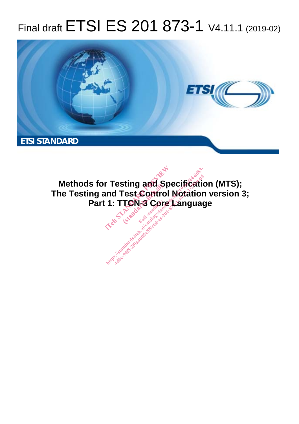# Final draft ETSI ES 201 873-1 V4.11.1 (2019-02)



**Methods for Testing and Specification (MTS); The Testing and Test Control Notation version 3; Part 1: TTCN-3 Core Language r Testing and Species**<br>ind Test Control No.<br>1: TTCN-3 Core La **Full draws.**<br>Fest Contro<br>**TCN-3** Core<br>Full standard: **http://www.defation.com/catalog/standards.item.ai/catalog/sister/sister/sister/sister/sister/sister/sister/sister/sister/sister/sister/sister/sister/sister/sister/sister/sister/sister/sister/sister/sister/sister/sister/si**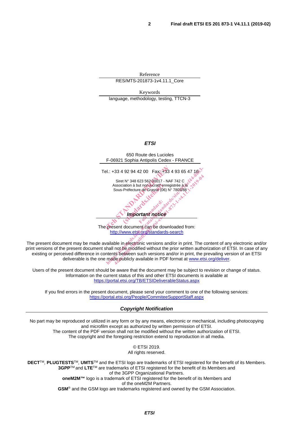Reference RES/MTS-201873-1v4.11.1\_Core

Keywords language, methodology, testing, TTCN-3

#### *ETSI*



The present document can be downloaded from: http://www.etsi.org/standards-search

The present document may be made available in electronic versions and/or in print. The content of any electronic and/or print versions of the present document shall not be modified without the prior written authorization of ETSI. In case of any existing or perceived difference in contents between such versions and/or in print, the prevailing version of an ETSI deliverable is the one made publicly available in PDF format at www.etsi.org/deliver.

Users of the present document should be aware that the document may be subject to revision or change of status. Information on the current status of this and other ETSI documents is available at https://portal.etsi.org/TB/ETSIDeliverableStatus.aspx

If you find errors in the present document, please send your comment to one of the following services: https://portal.etsi.org/People/CommiteeSupportStaff.aspx

*Copyright Notification* 

No part may be reproduced or utilized in any form or by any means, electronic or mechanical, including photocopying and microfilm except as authorized by written permission of ETSI. The content of the PDF version shall not be modified without the written authorization of ETSI. The copyright and the foregoing restriction extend to reproduction in all media.

> © ETSI 2019. All rights reserved.

**DECT**TM, **PLUGTESTS**TM, **UMTS**TM and the ETSI logo are trademarks of ETSI registered for the benefit of its Members. **3GPP**TM and **LTE**TM are trademarks of ETSI registered for the benefit of its Members and of the 3GPP Organizational Partners. **oneM2M™** logo is a trademark of ETSI registered for the benefit of its Members and of the oneM2M Partners. **GSM**® and the GSM logo are trademarks registered and owned by the GSM Association.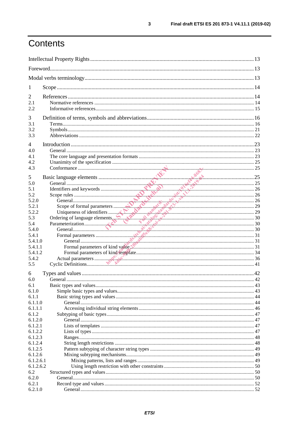# Contents

| 1                                          |                                                                                                                                                                                                                                |  |  |
|--------------------------------------------|--------------------------------------------------------------------------------------------------------------------------------------------------------------------------------------------------------------------------------|--|--|
| 2<br>2.1<br>2.2                            |                                                                                                                                                                                                                                |  |  |
| 3<br>3.1<br>3.2<br>3.3                     |                                                                                                                                                                                                                                |  |  |
| $\overline{4}$<br>4.0<br>4.1<br>4.2<br>4.3 |                                                                                                                                                                                                                                |  |  |
| 5<br>5.0<br>5.1<br>5.2                     |                                                                                                                                                                                                                                |  |  |
| 5.2.0<br>5.2.1<br>5.2.2<br>5.3             |                                                                                                                                                                                                                                |  |  |
| 5.4<br>5.4.0<br>5.4.1<br>5.4.1.0           |                                                                                                                                                                                                                                |  |  |
| 5.4.1.1<br>5.4.1.2<br>5.4.2                | Formal parameters of kind value with the continuum contract and value of kind value of the contract of kind value of the contract of the state of the state of the state of the state of the state of the state of the state o |  |  |
| 5.5<br>6                                   |                                                                                                                                                                                                                                |  |  |
| 6.0<br>6.1<br>6.1.0<br>6.1.1               |                                                                                                                                                                                                                                |  |  |
| 6.1.1.0<br>6.1.1.1<br>6.1.2<br>6.1.2.0     |                                                                                                                                                                                                                                |  |  |
| 6.1.2.1<br>6.1.2.2<br>6.1.2.3              |                                                                                                                                                                                                                                |  |  |
| 6.1.2.4<br>6.1.2.5<br>6.1.2.6<br>6.1.2.6.1 |                                                                                                                                                                                                                                |  |  |
| 6.1.2.6.2<br>6.2<br>6.2.0                  |                                                                                                                                                                                                                                |  |  |
| 6.2.1<br>6.2.1.0                           |                                                                                                                                                                                                                                |  |  |

 $\mathbf{3}$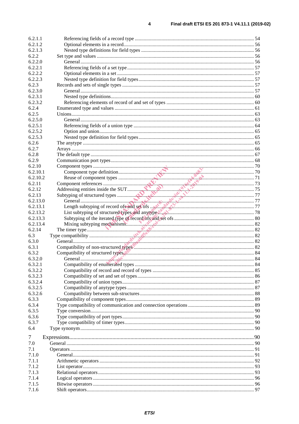| 6.2.1.1  |                                                                                  |    |
|----------|----------------------------------------------------------------------------------|----|
| 6.2.1.2  |                                                                                  |    |
| 6.2.1.3  |                                                                                  |    |
| 6.2.2    |                                                                                  |    |
| 6.2.2.0  |                                                                                  |    |
| 6.2.2.1  |                                                                                  |    |
| 6.2.2.2  |                                                                                  |    |
| 6.2.2.3  |                                                                                  |    |
| 6.2.3    |                                                                                  |    |
| 6.2.3.0  |                                                                                  |    |
| 6.2.3.1  |                                                                                  |    |
| 6.2.3.2  |                                                                                  |    |
| 6.2.4    |                                                                                  |    |
| 6.2.5    |                                                                                  |    |
| 6.2.5.0  |                                                                                  |    |
| 6.2.5.1  |                                                                                  |    |
| 6.2.5.2  |                                                                                  |    |
| 6.2.5.3  |                                                                                  |    |
| 6.2.6    |                                                                                  |    |
| 6.2.7    |                                                                                  |    |
| 6.2.8    |                                                                                  |    |
| 6.2.9    |                                                                                  |    |
| 6.2.10   |                                                                                  |    |
| 6.2.10.1 |                                                                                  |    |
| 6.2.10.2 |                                                                                  |    |
| 6.2.11   |                                                                                  |    |
| 6.2.12   |                                                                                  |    |
| 6.2.13   |                                                                                  |    |
| 6.2.13.0 |                                                                                  |    |
| 6.2.13.1 |                                                                                  |    |
| 6.2.13.2 | List subtyping of structured types and anytypes. S. All Communication and the 78 |    |
| 6.2.13.3 |                                                                                  |    |
| 6.2.13.4 |                                                                                  |    |
| 6.2.14   |                                                                                  |    |
| 6.3      |                                                                                  |    |
| 6.3.0    |                                                                                  |    |
| 6.3.1    |                                                                                  |    |
| 6.3.2    |                                                                                  |    |
| 6.3.2.0  |                                                                                  |    |
| 6.3.2.1  |                                                                                  |    |
| 6.3.2.2  |                                                                                  |    |
| 6.3.2.3  |                                                                                  |    |
| 6.3.2.4  |                                                                                  |    |
| 6.3.2.5  |                                                                                  |    |
| 6.3.2.6  |                                                                                  |    |
| 6.3.3    |                                                                                  |    |
| 6.3.4    |                                                                                  |    |
| 6.3.5    |                                                                                  |    |
| 6.3.6    |                                                                                  |    |
| 6.3.7    |                                                                                  |    |
|          |                                                                                  |    |
| 6.4      |                                                                                  |    |
| 7        |                                                                                  |    |
| 7.0      |                                                                                  |    |
| 7.1      |                                                                                  |    |
| 7.1.0    |                                                                                  |    |
| 7.1.1    |                                                                                  |    |
| 7.1.2    |                                                                                  |    |
| 7.1.3    |                                                                                  | 93 |
| 7.1.4    |                                                                                  |    |
| 7.1.5    |                                                                                  |    |
| 7.1.6    |                                                                                  | 97 |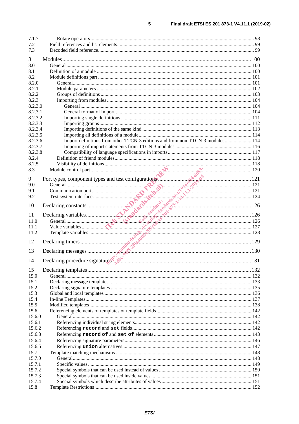| 7.1.7   |                                                                               |  |
|---------|-------------------------------------------------------------------------------|--|
| 7.2     |                                                                               |  |
| 7.3     |                                                                               |  |
| 8       |                                                                               |  |
| 8.0     |                                                                               |  |
| 8.1     |                                                                               |  |
| 8.2     |                                                                               |  |
| 8.2.0   |                                                                               |  |
| 8.2.1   |                                                                               |  |
| 8.2.2   |                                                                               |  |
| 8.2.3   |                                                                               |  |
| 8.2.3.0 |                                                                               |  |
| 8.2.3.1 |                                                                               |  |
| 8.2.3.2 |                                                                               |  |
| 8.2.3.3 |                                                                               |  |
| 8.2.3.4 |                                                                               |  |
| 8.2.3.5 |                                                                               |  |
| 8.2.3.6 | Import definitions from other TTCN-3 editions and from non-TTCN-3 modules 114 |  |
| 8.2.3.7 |                                                                               |  |
| 8.2.3.8 |                                                                               |  |
| 8.2.4   |                                                                               |  |
| 8.2.5   |                                                                               |  |
| 8.3     |                                                                               |  |
|         |                                                                               |  |
| 9       |                                                                               |  |
| 9.0     |                                                                               |  |
| 9.1     |                                                                               |  |
| 9.2     |                                                                               |  |
|         |                                                                               |  |
| 10      |                                                                               |  |
| 11      |                                                                               |  |
| 11.0    |                                                                               |  |
| 11.1    |                                                                               |  |
| 11.2    |                                                                               |  |
| 12      |                                                                               |  |
|         |                                                                               |  |
| 13      |                                                                               |  |
| 14      |                                                                               |  |
|         |                                                                               |  |
| 15      |                                                                               |  |
| 15.0    |                                                                               |  |
| 15.1    |                                                                               |  |
| 15.2    |                                                                               |  |
| 15.3    |                                                                               |  |
| 15.4    |                                                                               |  |
| 15.5    |                                                                               |  |
| 15.6    |                                                                               |  |
| 15.6.0  |                                                                               |  |
| 15.6.1  |                                                                               |  |
| 15.6.2  |                                                                               |  |
| 15.6.3  |                                                                               |  |
| 15.6.4  |                                                                               |  |
| 15.6.5  |                                                                               |  |
| 15.7    |                                                                               |  |
| 15.7.0  |                                                                               |  |
| 15.7.1  |                                                                               |  |
| 15.7.2  |                                                                               |  |
| 15.7.3  |                                                                               |  |
| 15.7.4  |                                                                               |  |
| 15.8    |                                                                               |  |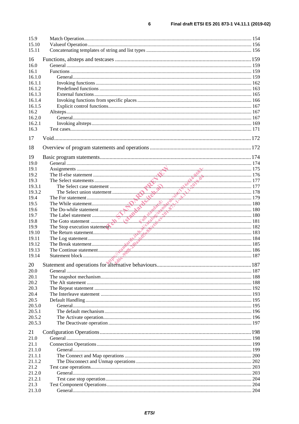| 15.9   |                                                                                                                                                                                                                                |  |
|--------|--------------------------------------------------------------------------------------------------------------------------------------------------------------------------------------------------------------------------------|--|
| 15.10  |                                                                                                                                                                                                                                |  |
| 15.11  |                                                                                                                                                                                                                                |  |
| 16     |                                                                                                                                                                                                                                |  |
| 16.0   |                                                                                                                                                                                                                                |  |
| 16.1   |                                                                                                                                                                                                                                |  |
| 16.1.0 |                                                                                                                                                                                                                                |  |
| 16.1.1 |                                                                                                                                                                                                                                |  |
| 16.1.2 |                                                                                                                                                                                                                                |  |
| 16.1.3 |                                                                                                                                                                                                                                |  |
| 16.1.4 |                                                                                                                                                                                                                                |  |
| 16.1.5 |                                                                                                                                                                                                                                |  |
| 16.2   |                                                                                                                                                                                                                                |  |
| 16.2.0 |                                                                                                                                                                                                                                |  |
| 16.2.1 |                                                                                                                                                                                                                                |  |
| 16.3   |                                                                                                                                                                                                                                |  |
| 17     |                                                                                                                                                                                                                                |  |
|        |                                                                                                                                                                                                                                |  |
| 18     |                                                                                                                                                                                                                                |  |
| 19     |                                                                                                                                                                                                                                |  |
| 19.0   |                                                                                                                                                                                                                                |  |
| 19.1   |                                                                                                                                                                                                                                |  |
| 19.2   |                                                                                                                                                                                                                                |  |
| 19.3   |                                                                                                                                                                                                                                |  |
| 19.3.1 | The Select statement and the method is a statement of the select case statement and the select union statement and the Select union statement and the Do-while statement and the Do-while statement and the Do-while statement |  |
| 19.3.2 |                                                                                                                                                                                                                                |  |
| 19.4   |                                                                                                                                                                                                                                |  |
| 19.5   |                                                                                                                                                                                                                                |  |
| 19.6   |                                                                                                                                                                                                                                |  |
| 19.7   |                                                                                                                                                                                                                                |  |
| 19.8   |                                                                                                                                                                                                                                |  |
| 19.9   |                                                                                                                                                                                                                                |  |
| 19.10  |                                                                                                                                                                                                                                |  |
| 19.11  |                                                                                                                                                                                                                                |  |
| 19.12  |                                                                                                                                                                                                                                |  |
| 19.13  |                                                                                                                                                                                                                                |  |
| 19.14  |                                                                                                                                                                                                                                |  |
| 20     |                                                                                                                                                                                                                                |  |
| 20.0   |                                                                                                                                                                                                                                |  |
| 20.1   |                                                                                                                                                                                                                                |  |
| 20.2   |                                                                                                                                                                                                                                |  |
| 20.3   |                                                                                                                                                                                                                                |  |
| 20.4   |                                                                                                                                                                                                                                |  |
| 20.5   |                                                                                                                                                                                                                                |  |
| 20.5.0 |                                                                                                                                                                                                                                |  |
| 20.5.1 |                                                                                                                                                                                                                                |  |
| 20.5.2 |                                                                                                                                                                                                                                |  |
| 20.5.3 |                                                                                                                                                                                                                                |  |
| 21     |                                                                                                                                                                                                                                |  |
| 21.0   |                                                                                                                                                                                                                                |  |
| 21.1   |                                                                                                                                                                                                                                |  |
| 21.1.0 |                                                                                                                                                                                                                                |  |
| 21.1.1 |                                                                                                                                                                                                                                |  |
| 21.1.2 |                                                                                                                                                                                                                                |  |
| 21.2   |                                                                                                                                                                                                                                |  |
| 21.2.0 |                                                                                                                                                                                                                                |  |
| 21.2.1 |                                                                                                                                                                                                                                |  |
| 21.3   |                                                                                                                                                                                                                                |  |
| 21.3.0 |                                                                                                                                                                                                                                |  |
|        |                                                                                                                                                                                                                                |  |

 $\bf 6$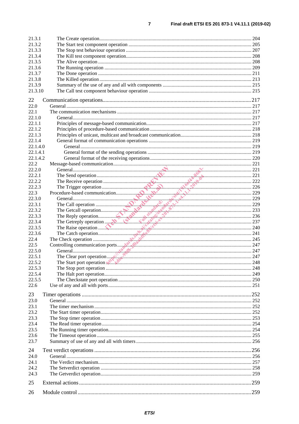| 21.3.1   |                                                                                                                                                                                                                                                  |  |
|----------|--------------------------------------------------------------------------------------------------------------------------------------------------------------------------------------------------------------------------------------------------|--|
| 21.3.2   |                                                                                                                                                                                                                                                  |  |
| 21.3.3   |                                                                                                                                                                                                                                                  |  |
| 21.3.4   |                                                                                                                                                                                                                                                  |  |
| 21.3.5   |                                                                                                                                                                                                                                                  |  |
| 21.3.6   |                                                                                                                                                                                                                                                  |  |
| 21.3.7   |                                                                                                                                                                                                                                                  |  |
| 21.3.8   |                                                                                                                                                                                                                                                  |  |
| 21.3.9   |                                                                                                                                                                                                                                                  |  |
| 21.3.10  |                                                                                                                                                                                                                                                  |  |
|          |                                                                                                                                                                                                                                                  |  |
| 22       |                                                                                                                                                                                                                                                  |  |
| 22.0     |                                                                                                                                                                                                                                                  |  |
| 22.1     |                                                                                                                                                                                                                                                  |  |
| 22.1.0   |                                                                                                                                                                                                                                                  |  |
| 22.1.1   |                                                                                                                                                                                                                                                  |  |
| 22.1.2   |                                                                                                                                                                                                                                                  |  |
| 22.1.3   |                                                                                                                                                                                                                                                  |  |
| 22.1.4   |                                                                                                                                                                                                                                                  |  |
| 22.1.4.0 |                                                                                                                                                                                                                                                  |  |
| 22.1.4.1 |                                                                                                                                                                                                                                                  |  |
| 22.1.4.2 |                                                                                                                                                                                                                                                  |  |
| 22.2     |                                                                                                                                                                                                                                                  |  |
| 22.2.0   |                                                                                                                                                                                                                                                  |  |
| 22.2.1   | The Send operation 221<br>The Receive operation 221<br>The Receive operation 221<br>The Trigger operation 222                                                                                                                                    |  |
| 22.2.2   |                                                                                                                                                                                                                                                  |  |
| 22.2.3   |                                                                                                                                                                                                                                                  |  |
| 22.3     |                                                                                                                                                                                                                                                  |  |
| 22.3.0   |                                                                                                                                                                                                                                                  |  |
| 22.3.1   |                                                                                                                                                                                                                                                  |  |
| 22.3.2   |                                                                                                                                                                                                                                                  |  |
| 22.3.3   |                                                                                                                                                                                                                                                  |  |
| 22.3.4   |                                                                                                                                                                                                                                                  |  |
| 22.3.5   |                                                                                                                                                                                                                                                  |  |
| 22.3.6   |                                                                                                                                                                                                                                                  |  |
| 22.4     |                                                                                                                                                                                                                                                  |  |
| 22.5     |                                                                                                                                                                                                                                                  |  |
| 22.5.0   | The Call operation<br>The Call operation<br>The Call operation<br>The Call operation<br>The Getrelly operation<br>The Getrelly operation<br>The Getrelly operation<br>The Cach operation<br>The Cach operation<br>The Cach operation<br>The Cach |  |
| 22.5.1   |                                                                                                                                                                                                                                                  |  |
| 22.5.2   | The Start port operation will be constructed by the Start port operation will be start port operation will be constructed by the Start port of the Start port of the Start port of the Start port of the Start port of the Sta                   |  |
| 22.5.3   |                                                                                                                                                                                                                                                  |  |
| 22.5.4   |                                                                                                                                                                                                                                                  |  |
| 22.5.5   |                                                                                                                                                                                                                                                  |  |
| 22.6     |                                                                                                                                                                                                                                                  |  |
|          |                                                                                                                                                                                                                                                  |  |
| 23       |                                                                                                                                                                                                                                                  |  |
| 23.0     |                                                                                                                                                                                                                                                  |  |
| 23.1     |                                                                                                                                                                                                                                                  |  |
| 23.2     |                                                                                                                                                                                                                                                  |  |
| 23.3     |                                                                                                                                                                                                                                                  |  |
| 23.4     |                                                                                                                                                                                                                                                  |  |
| 23.5     |                                                                                                                                                                                                                                                  |  |
| 23.6     |                                                                                                                                                                                                                                                  |  |
| 23.7     |                                                                                                                                                                                                                                                  |  |
|          |                                                                                                                                                                                                                                                  |  |
| 24       |                                                                                                                                                                                                                                                  |  |
| 24.0     |                                                                                                                                                                                                                                                  |  |
| 24.1     |                                                                                                                                                                                                                                                  |  |
| 24.2     |                                                                                                                                                                                                                                                  |  |
| 24.3     |                                                                                                                                                                                                                                                  |  |
| 25       |                                                                                                                                                                                                                                                  |  |
| 26       |                                                                                                                                                                                                                                                  |  |

 $\overline{7}$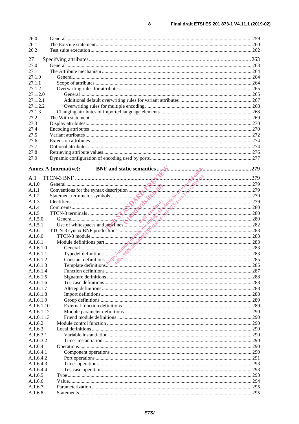| 26.0       |                                                                                 |     |
|------------|---------------------------------------------------------------------------------|-----|
| 26.1       |                                                                                 |     |
| 26.2       |                                                                                 |     |
| 27         |                                                                                 |     |
| 27.0       |                                                                                 |     |
| 27.1       |                                                                                 |     |
| 27.1.0     |                                                                                 |     |
| 27.1.1     |                                                                                 |     |
| 27.1.2     |                                                                                 |     |
| 27.1.2.0   |                                                                                 |     |
| 27.1.2.1   |                                                                                 |     |
| 27.1.2.2   |                                                                                 |     |
| 27.1.3     |                                                                                 |     |
| 27.2       |                                                                                 |     |
| 27.3       |                                                                                 |     |
| 27.4       |                                                                                 |     |
| 27.5       |                                                                                 |     |
| 27.6       |                                                                                 |     |
| 27.7       |                                                                                 |     |
| 27.8       |                                                                                 |     |
| 27.9       |                                                                                 |     |
|            |                                                                                 |     |
|            | <b>Annex A (normative):</b>                                                     |     |
|            |                                                                                 |     |
| A.1        |                                                                                 |     |
| A.1.0      |                                                                                 |     |
| A.1.1      |                                                                                 |     |
| A.1.2      |                                                                                 |     |
| A.1.3      |                                                                                 |     |
| A.1.4      |                                                                                 |     |
| A.1.5      |                                                                                 |     |
| A.1.5.0    |                                                                                 |     |
| A.1.5.1    |                                                                                 |     |
| A.1.6      |                                                                                 |     |
| A.1.6.0    |                                                                                 |     |
| A.1.6.1    |                                                                                 |     |
| A.1.6.1.0  |                                                                                 |     |
| A.1.6.1.1  |                                                                                 |     |
| A.1.6.1.2  |                                                                                 |     |
| A.1.6.1.3  | Constant definitions and the constant definitions and the constant definitions. |     |
| A.1.6.1.4  |                                                                                 |     |
| A.1.6.1.5  |                                                                                 | 288 |
| A.1.6.1.6  |                                                                                 | 288 |
| A.1.6.1.7  |                                                                                 |     |
| A.1.6.1.8  |                                                                                 |     |
| A.1.6.1.9  |                                                                                 |     |
| A.1.6.1.10 |                                                                                 |     |
| A.1.6.1.12 |                                                                                 |     |
| A.1.6.1.13 |                                                                                 |     |
| A.1.6.2    |                                                                                 |     |
| A.1.6.3    |                                                                                 |     |
| A.1.6.3.1  |                                                                                 |     |
| A.1.6.3.2  |                                                                                 |     |
| A.1.6.4    |                                                                                 |     |
| A.1.6.4.1  |                                                                                 | 290 |
| A.1.6.4.2  |                                                                                 |     |
| A.1.6.4.3  |                                                                                 |     |
| A.1.6.4.4  |                                                                                 |     |
| A.1.6.5    |                                                                                 |     |
| A.1.6.6    |                                                                                 |     |
|            |                                                                                 |     |
| A.1.6.7    |                                                                                 |     |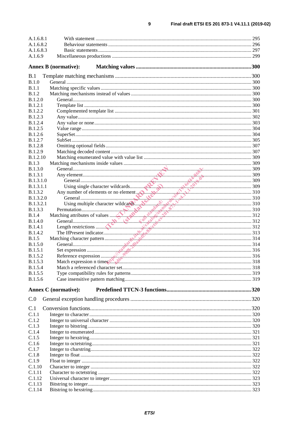| A.1.6.8.1                        |                                                                                                                                                                                                                                |     |
|----------------------------------|--------------------------------------------------------------------------------------------------------------------------------------------------------------------------------------------------------------------------------|-----|
| A.1.6.8.2                        |                                                                                                                                                                                                                                |     |
| A.1.6.8.3                        |                                                                                                                                                                                                                                |     |
| A.1.6.9                          |                                                                                                                                                                                                                                |     |
|                                  | <b>Annex B</b> (normative):                                                                                                                                                                                                    |     |
| B.1                              |                                                                                                                                                                                                                                |     |
| B.1.0                            |                                                                                                                                                                                                                                |     |
| B.1.1                            |                                                                                                                                                                                                                                |     |
| B.1.2                            |                                                                                                                                                                                                                                |     |
| B.1.2.0                          |                                                                                                                                                                                                                                |     |
| B.1.2.1                          |                                                                                                                                                                                                                                |     |
| <b>B.1.2.2</b>                   |                                                                                                                                                                                                                                |     |
| <b>B.1.2.3</b>                   |                                                                                                                                                                                                                                |     |
| <b>B.1.2.4</b>                   |                                                                                                                                                                                                                                |     |
| <b>B.1.2.5</b>                   |                                                                                                                                                                                                                                |     |
| <b>B.1.2.6</b>                   |                                                                                                                                                                                                                                |     |
| <b>B.1.2.7</b><br><b>B.1.2.8</b> |                                                                                                                                                                                                                                |     |
| B.1.2.9                          |                                                                                                                                                                                                                                |     |
| <b>B.1.2.10</b>                  |                                                                                                                                                                                                                                |     |
| B.1.3                            |                                                                                                                                                                                                                                |     |
| <b>B.1.3.0</b>                   |                                                                                                                                                                                                                                |     |
| <b>B.1.3.1</b>                   |                                                                                                                                                                                                                                |     |
| B.1.3.1.0                        |                                                                                                                                                                                                                                |     |
| <b>B.1.3.1.1</b>                 |                                                                                                                                                                                                                                |     |
| <b>B.1.3.2</b>                   |                                                                                                                                                                                                                                |     |
| <b>B.1.3.2.0</b>                 | and the same of the same of the same of the same of the same of the same of the same of the same of the same of the same of the same of the same of the same of the same of the same of the same of the same of the same of th |     |
| <b>B.1.3.2.1</b>                 |                                                                                                                                                                                                                                |     |
| <b>B.1.3.3</b>                   |                                                                                                                                                                                                                                |     |
| B.1.4                            |                                                                                                                                                                                                                                |     |
| <b>B.1.4.0</b>                   |                                                                                                                                                                                                                                |     |
| <b>B.1.4.1</b>                   |                                                                                                                                                                                                                                |     |
| B.1.4.2                          |                                                                                                                                                                                                                                |     |
| B.1.5                            |                                                                                                                                                                                                                                |     |
| B.1.5.0                          |                                                                                                                                                                                                                                |     |
| B.1.5.1                          |                                                                                                                                                                                                                                |     |
| <b>B.1.5.2</b>                   |                                                                                                                                                                                                                                |     |
| B.1.5.3                          | Match expression n times the de                                                                                                                                                                                                | 318 |
| <b>B.1.5.4</b>                   |                                                                                                                                                                                                                                |     |
| <b>B.1.5.5</b><br>B.1.5.6        |                                                                                                                                                                                                                                |     |
|                                  |                                                                                                                                                                                                                                |     |
|                                  | <b>Annex C</b> (normative):                                                                                                                                                                                                    |     |
| C.0                              |                                                                                                                                                                                                                                |     |
| C.1                              |                                                                                                                                                                                                                                |     |
| C.1.1                            |                                                                                                                                                                                                                                |     |
| C.1.2                            |                                                                                                                                                                                                                                |     |
| C.1.3                            |                                                                                                                                                                                                                                |     |
| C.1.4                            |                                                                                                                                                                                                                                |     |
| C.1.5                            |                                                                                                                                                                                                                                |     |
| C.1.6                            |                                                                                                                                                                                                                                |     |
| C.1.7                            |                                                                                                                                                                                                                                |     |
| C.1.8                            |                                                                                                                                                                                                                                |     |
| C.1.9<br>C.1.10                  |                                                                                                                                                                                                                                |     |
| C.1.11                           |                                                                                                                                                                                                                                |     |
| C.1.12                           |                                                                                                                                                                                                                                |     |
| C.1.13                           |                                                                                                                                                                                                                                |     |
| C.1.14                           |                                                                                                                                                                                                                                |     |
|                                  |                                                                                                                                                                                                                                |     |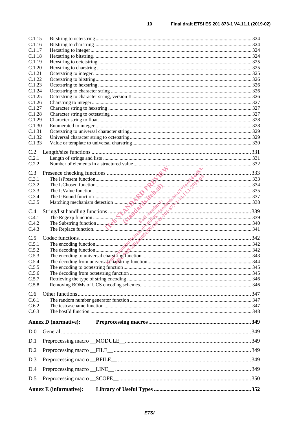| C.1.15           |                               |                                                                                                                                                                                                                               |  |
|------------------|-------------------------------|-------------------------------------------------------------------------------------------------------------------------------------------------------------------------------------------------------------------------------|--|
| C.1.16           |                               |                                                                                                                                                                                                                               |  |
| C.1.17           |                               |                                                                                                                                                                                                                               |  |
| C.1.18           |                               |                                                                                                                                                                                                                               |  |
| C.1.19           |                               |                                                                                                                                                                                                                               |  |
| C.1.20           |                               |                                                                                                                                                                                                                               |  |
| C.1.21           |                               |                                                                                                                                                                                                                               |  |
| C.1.22<br>C.1.23 |                               |                                                                                                                                                                                                                               |  |
| C.1.24           |                               |                                                                                                                                                                                                                               |  |
| C.1.25           |                               |                                                                                                                                                                                                                               |  |
| C.1.26           |                               |                                                                                                                                                                                                                               |  |
| C.1.27           |                               |                                                                                                                                                                                                                               |  |
| C.1.28           |                               |                                                                                                                                                                                                                               |  |
| C.1.29           |                               |                                                                                                                                                                                                                               |  |
| C.1.30           |                               |                                                                                                                                                                                                                               |  |
| C.1.31           |                               |                                                                                                                                                                                                                               |  |
| C.1.32           |                               |                                                                                                                                                                                                                               |  |
| C.1.33           |                               |                                                                                                                                                                                                                               |  |
| C.2              |                               |                                                                                                                                                                                                                               |  |
| C.2.1            |                               |                                                                                                                                                                                                                               |  |
| C.2.2            |                               |                                                                                                                                                                                                                               |  |
|                  |                               | Free SPresent function and the colling function and the server of the ISP and the ISP and the ISP and the ISO and the ISO and the ISO and the ISO and the ISO and the ISO and the ISO and the ISO and the ISO and the ISO and |  |
| C.3              |                               |                                                                                                                                                                                                                               |  |
| C.3.1            |                               |                                                                                                                                                                                                                               |  |
| C.3.2<br>C.3.3   |                               |                                                                                                                                                                                                                               |  |
| C.3.4            |                               |                                                                                                                                                                                                                               |  |
| C.3.5            |                               |                                                                                                                                                                                                                               |  |
|                  |                               |                                                                                                                                                                                                                               |  |
| C.4              |                               |                                                                                                                                                                                                                               |  |
| C.4.1            |                               |                                                                                                                                                                                                                               |  |
| C.4.2            |                               |                                                                                                                                                                                                                               |  |
| C.4.3            |                               |                                                                                                                                                                                                                               |  |
| C.5              |                               |                                                                                                                                                                                                                               |  |
| C.5.1            |                               |                                                                                                                                                                                                                               |  |
| C.5.2            |                               |                                                                                                                                                                                                                               |  |
| C.5.3            |                               |                                                                                                                                                                                                                               |  |
| C.5.4            |                               |                                                                                                                                                                                                                               |  |
| C.5.5            |                               |                                                                                                                                                                                                                               |  |
| C.5.6            |                               |                                                                                                                                                                                                                               |  |
| C.5.7<br>C.5.8   |                               |                                                                                                                                                                                                                               |  |
|                  |                               |                                                                                                                                                                                                                               |  |
| C.6              |                               |                                                                                                                                                                                                                               |  |
| C.6.1            |                               |                                                                                                                                                                                                                               |  |
| C.6.2            |                               |                                                                                                                                                                                                                               |  |
| C.6.3            |                               |                                                                                                                                                                                                                               |  |
|                  | <b>Annex D</b> (normative):   |                                                                                                                                                                                                                               |  |
| D.0              |                               |                                                                                                                                                                                                                               |  |
| D.1              |                               |                                                                                                                                                                                                                               |  |
| D.2              |                               |                                                                                                                                                                                                                               |  |
| D.3              |                               |                                                                                                                                                                                                                               |  |
| D.4              |                               |                                                                                                                                                                                                                               |  |
| D.5              |                               |                                                                                                                                                                                                                               |  |
|                  |                               |                                                                                                                                                                                                                               |  |
|                  | <b>Annex E</b> (informative): |                                                                                                                                                                                                                               |  |

 $10$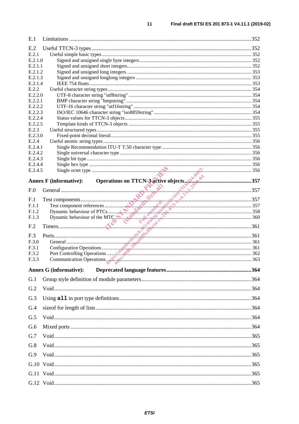| E.1                |                                                                |  |
|--------------------|----------------------------------------------------------------|--|
| E.2                |                                                                |  |
| E.2.1              |                                                                |  |
| E.2.1.0            |                                                                |  |
| E.2.1.1<br>E.2.1.2 |                                                                |  |
| E.2.1.3            |                                                                |  |
| E.2.1.4            |                                                                |  |
| E.2.2              |                                                                |  |
| E.2.2.0            |                                                                |  |
| E.2.2.1            |                                                                |  |
| E.2.2.2            |                                                                |  |
| E.2.2.3<br>E.2.2.4 |                                                                |  |
| E.2.2.5            |                                                                |  |
| E.2.3              |                                                                |  |
| E.2.3.0            |                                                                |  |
| E.2.4              |                                                                |  |
| E.2.4.1            |                                                                |  |
| E.2.4.2<br>E.2.4.3 |                                                                |  |
| E.2.4.4            |                                                                |  |
| E.2.4.5            |                                                                |  |
|                    | Operations on TTCN-3 active objects with a strategy of the 357 |  |
|                    | <b>Annex F</b> (informative):                                  |  |
| F.0                | 1 <sup>6</sup> 2 <sup>0</sup> <sup>2</sup>                     |  |
| F.1                |                                                                |  |
| F.1.1              |                                                                |  |
| F.1.2              |                                                                |  |
| F.1.3              |                                                                |  |
| F <sub>.2</sub>    |                                                                |  |
| F.3                |                                                                |  |
| F.3.0              |                                                                |  |
| F.3.1              |                                                                |  |
| F.3.2              |                                                                |  |
| F.3.3              | Communication Operations. 263                                  |  |
|                    | <b>Annex G (informative):</b>                                  |  |
| G.1                |                                                                |  |
| G.2                |                                                                |  |
| G.3                |                                                                |  |
| G.4                |                                                                |  |
|                    |                                                                |  |
| G.5                |                                                                |  |
| G.6                |                                                                |  |
| G.7                |                                                                |  |
| G.8                |                                                                |  |
| G.9                |                                                                |  |
|                    |                                                                |  |
|                    |                                                                |  |
|                    |                                                                |  |
|                    |                                                                |  |

 $11$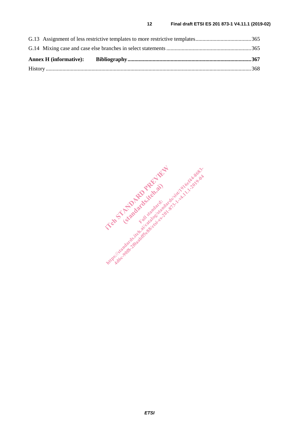IT and Francesco de la Constantinople (standards.iteh.ai) **Https://standards.iteh.ai/catalog/standards.iteh.ai/catalogue**<br>https://sistem.ai/catalogue.ai/catalogue.ai/catalogue.ai/catalogue.ai/catalogue.ai/catalogue.ai/catalogue.ai/catalogue.ai/catalogue.ai/catalogue.ai/catalogue.